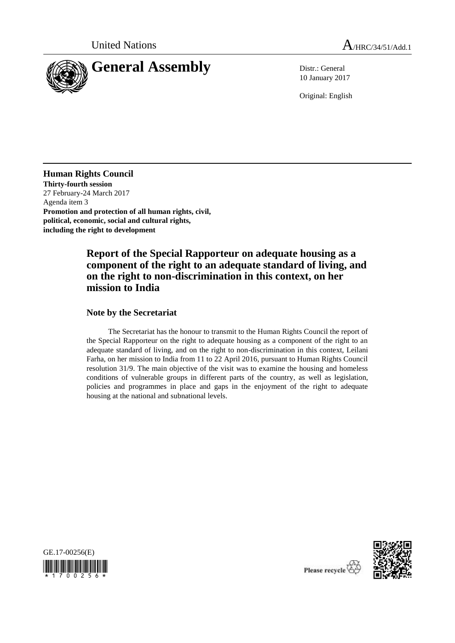

10 January 2017

Original: English

**Human Rights Council Thirty-fourth session** 27 February-24 March 2017 Agenda item 3 **Promotion and protection of all human rights, civil, political, economic, social and cultural rights, including the right to development**

# **Report of the Special Rapporteur on adequate housing as a component of the right to an adequate standard of living, and on the right to non-discrimination in this context, on her mission to India**

### **Note by the Secretariat**

The Secretariat has the honour to transmit to the Human Rights Council the report of the Special Rapporteur on the right to adequate housing as a component of the right to an adequate standard of living, and on the right to non-discrimination in this context, Leilani Farha, on her mission to India from 11 to 22 April 2016, pursuant to Human Rights Council resolution 31/9. The main objective of the visit was to examine the housing and homeless conditions of vulnerable groups in different parts of the country, as well as legislation, policies and programmes in place and gaps in the enjoyment of the right to adequate housing at the national and subnational levels.





Please recycle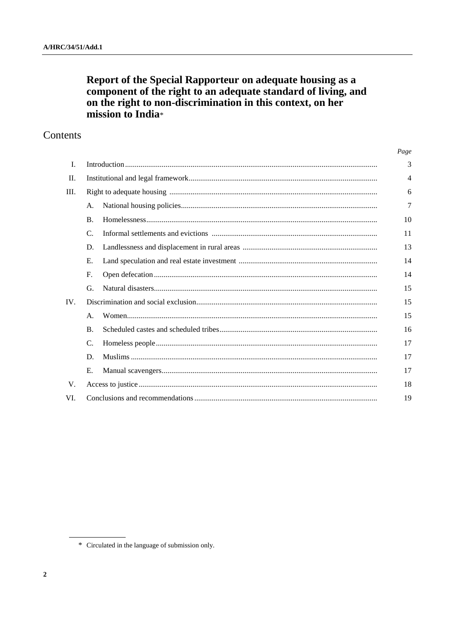# Report of the Special Rapporteur on adequate housing as a<br>component of the right to an adequate standard of living, and on the right to non-discrimination in this context, on her mission to India\*

# Contents

|      |                |  | Page |
|------|----------------|--|------|
| I.   |                |  | 3    |
| II.  |                |  | 4    |
| III. |                |  | 6    |
|      | A.             |  | 7    |
|      | $\mathbf{B}$ . |  | 10   |
|      | $\mathcal{C}$  |  | 11   |
|      | D.             |  | 13   |
|      | E.             |  | 14   |
|      | F.             |  | 14   |
|      | G.             |  | 15   |
| IV.  |                |  | 15   |
|      | $\mathsf{A}$ . |  | 15   |
|      | $\mathbf{B}$ . |  | 16   |
|      | C.             |  | 17   |
|      | D.             |  | 17   |
|      | E.             |  | 17   |
| V.   |                |  | 18   |
| VI.  |                |  |      |

<sup>\*</sup> Circulated in the language of submission only.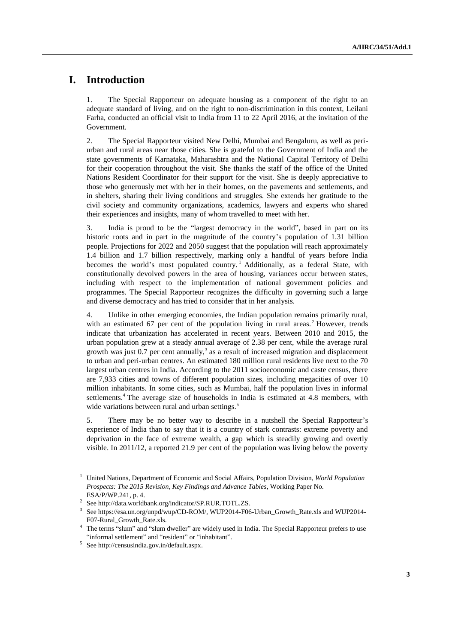# **I. Introduction**

1. The Special Rapporteur on adequate housing as a component of the right to an adequate standard of living, and on the right to non-discrimination in this context, Leilani Farha, conducted an official visit to India from 11 to 22 April 2016, at the invitation of the Government.

2. The Special Rapporteur visited New Delhi, Mumbai and Bengaluru, as well as periurban and rural areas near those cities. She is grateful to the Government of India and the state governments of Karnataka, Maharashtra and the National Capital Territory of Delhi for their cooperation throughout the visit. She thanks the staff of the office of the United Nations Resident Coordinator for their support for the visit. She is deeply appreciative to those who generously met with her in their homes, on the pavements and settlements, and in shelters, sharing their living conditions and struggles. She extends her gratitude to the civil society and community organizations, academics, lawyers and experts who shared their experiences and insights, many of whom travelled to meet with her.

3. India is proud to be the "largest democracy in the world", based in part on its historic roots and in part in the magnitude of the country's population of 1.31 billion people. Projections for 2022 and 2050 suggest that the population will reach approximately 1.4 billion and 1.7 billion respectively, marking only a handful of years before India becomes the world's most populated country.<sup>1</sup> Additionally, as a federal State, with constitutionally devolved powers in the area of housing, variances occur between states, including with respect to the implementation of national government policies and programmes. The Special Rapporteur recognizes the difficulty in governing such a large and diverse democracy and has tried to consider that in her analysis.

4. Unlike in other emerging economies, the Indian population remains primarily rural, with an estimated 67 per cent of the population living in rural areas.<sup>2</sup> However, trends indicate that urbanization has accelerated in recent years. Between 2010 and 2015, the urban population grew at a steady annual average of 2.38 per cent, while the average rural growth was just  $0.7$  per cent annually,<sup>3</sup> as a result of increased migration and displacement to urban and peri-urban centres. An estimated 180 million rural residents live next to the 70 largest urban centres in India. According to the 2011 socioeconomic and caste census, there are 7,933 cities and towns of different population sizes, including megacities of over 10 million inhabitants. In some cities, such as Mumbai, half the population lives in informal settlements.<sup>4</sup> The average size of households in India is estimated at 4.8 members, with wide variations between rural and urban settings.<sup>5</sup>

5. There may be no better way to describe in a nutshell the Special Rapporteur's experience of India than to say that it is a country of stark contrasts: extreme poverty and deprivation in the face of extreme wealth, a gap which is steadily growing and overtly visible. In 2011/12, a reported 21.9 per cent of the population was living below the poverty

<sup>1</sup> United Nations, Department of Economic and Social Affairs, Population Division, *World Population Prospects: The 2015 Revision, Key Findings and Advance Tables*, Working Paper No. ESA/P/WP.241, p. 4.

<sup>2</sup> See http://data.worldbank.org/indicator/SP.RUR.TOTL.ZS.

<sup>&</sup>lt;sup>3</sup> Se[e https://esa.un.org/unpd/wup/CD-ROM/,](https://esa.un.org/unpd/wup/CD-ROM/) [WUP2014-F06-Urban\\_Growth\\_Rate.xls](https://esa.un.org/unpd/wup/CD-ROM/WUP2014_XLS_CD_FILES/WUP2014-F06-Urban_Growth_Rate.xls) an[d WUP2014-](https://esa.un.org/unpd/wup/CD-ROM/WUP2014_XLS_CD_FILES/WUP2014-F07-Rural_Growth_Rate.xls) [F07-Rural\\_Growth\\_Rate.xls.](https://esa.un.org/unpd/wup/CD-ROM/WUP2014_XLS_CD_FILES/WUP2014-F07-Rural_Growth_Rate.xls)

<sup>&</sup>lt;sup>4</sup> The terms "slum" and "slum dweller" are widely used in India. The Special Rapporteur prefers to use "informal settlement" and "resident" or "inhabitant".

<sup>5</sup> See [http://censusindia.gov.in/default.aspx.](http://censusindia.gov.in/default.aspx)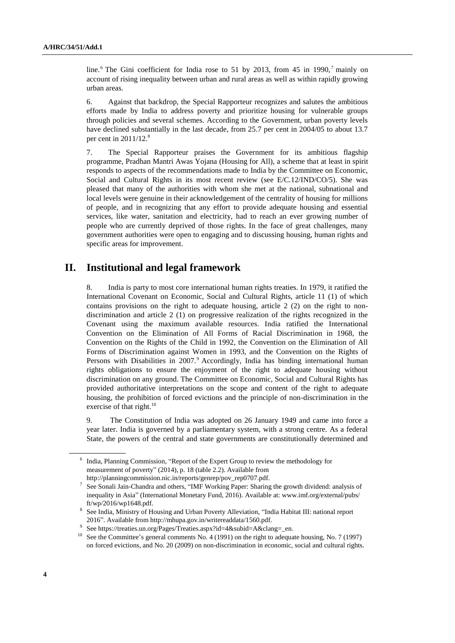line. <sup>6</sup> The Gini coefficient for India rose to 51 by 2013, from 45 in 1990,<sup>7</sup> mainly on account of rising inequality between urban and rural areas as well as within rapidly growing urban areas.

6. Against that backdrop, the Special Rapporteur recognizes and salutes the ambitious efforts made by India to address poverty and prioritize housing for vulnerable groups through policies and several schemes. According to the Government, urban poverty levels have declined substantially in the last decade, from 25.7 per cent in 2004/05 to about 13.7 per cent in  $2011/12$ .<sup>8</sup>

7. The Special Rapporteur praises the Government for its ambitious flagship programme, Pradhan Mantri Awas Yojana (Housing for All), a scheme that at least in spirit responds to aspects of the recommendations made to India by the Committee on Economic, Social and Cultural Rights in its most recent review (see E/C.12/IND/CO/5). She was pleased that many of the authorities with whom she met at the national, subnational and local levels were genuine in their acknowledgement of the centrality of housing for millions of people, and in recognizing that any effort to provide adequate housing and essential services, like water, sanitation and electricity, had to reach an ever growing number of people who are currently deprived of those rights. In the face of great challenges, many government authorities were open to engaging and to discussing housing, human rights and specific areas for improvement.

## **II. Institutional and legal framework**

8. India is party to most core international human rights treaties. In 1979, it ratified the International Covenant on Economic, Social and Cultural Rights, article 11 (1) of which contains provisions on the right to adequate housing, article  $2(2)$  on the right to nondiscrimination and article 2 (1) on progressive realization of the rights recognized in the Covenant using the maximum available resources. India ratified the International Convention on the Elimination of All Forms of Racial Discrimination in 1968, the Convention on the Rights of the Child in 1992, the Convention on the Elimination of All Forms of Discrimination against Women in 1993, and the Convention on the Rights of Persons with Disabilities in 2007.<sup>9</sup> Accordingly, India has binding international human rights obligations to ensure the enjoyment of the right to adequate housing without discrimination on any ground. The Committee on Economic, Social and Cultural Rights has provided authoritative interpretations on the scope and content of the right to adequate housing, the prohibition of forced evictions and the principle of non-discrimination in the exercise of that right.<sup>10</sup>

9. The Constitution of India was adopted on 26 January 1949 and came into force a year later. India is governed by a parliamentary system, with a strong centre. As a federal State, the powers of the central and state governments are constitutionally determined and

<sup>&</sup>lt;sup>6</sup> India, Planning Commission, "Report of the Expert Group to review the methodology for measurement of poverty" (2014), p. 18 (table 2.2). Available from [http://planningcommission.nic.in/reports/genrep/pov\\_rep0707.pdf.](http://planningcommission.nic.in/reports/genrep/pov_rep0707.pdf)

<sup>7</sup> See Sonali Jain-Chandra and others, "IMF Working Paper: Sharing the growth dividend: analysis of inequality in Asia" (International Monetary Fund, 2016). Available at: www.imf.org/external/pubs/ ft/wp/2016/wp1648.pdf.

<sup>&</sup>lt;sup>8</sup> See India, Ministry of Housing and Urban Poverty Alleviation, "India Habitat III: national report 2016". Available from http://mhupa.gov.in/writereaddata/1560.pdf.

<sup>9</sup> See https://treaties.un.org/Pages/Treaties.aspx?id=4&subid=A&clang=\_en.

<sup>&</sup>lt;sup>10</sup> See the Committee's general comments No. 4 (1991) on the right to adequate housing, No. 7 (1997) on forced evictions, and No. 20 (2009) on non-discrimination in economic, social and cultural rights.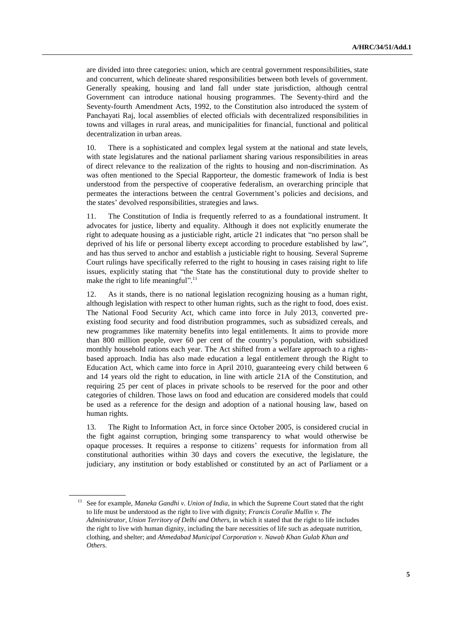are divided into three categories: union, which are central government responsibilities, state and concurrent, which delineate shared responsibilities between both levels of government. Generally speaking, housing and land fall under state jurisdiction, although central Government can introduce national housing programmes. The Seventy-third and the Seventy-fourth Amendment Acts, 1992, to the Constitution also introduced the system of Panchayati Raj, local assemblies of elected officials with decentralized responsibilities in towns and villages in rural areas, and municipalities for financial, functional and political decentralization in urban areas.

10. There is a sophisticated and complex legal system at the national and state levels, with state legislatures and the national parliament sharing various responsibilities in areas of direct relevance to the realization of the rights to housing and non-discrimination. As was often mentioned to the Special Rapporteur, the domestic framework of India is best understood from the perspective of cooperative federalism, an overarching principle that permeates the interactions between the central Government's policies and decisions, and the states' devolved responsibilities, strategies and laws.

11. The Constitution of India is frequently referred to as a foundational instrument. It advocates for justice, liberty and equality. Although it does not explicitly enumerate the right to adequate housing as a justiciable right, article 21 indicates that "no person shall be deprived of his life or personal liberty except according to procedure established by law", and has thus served to anchor and establish a justiciable right to housing. Several Supreme Court rulings have specifically referred to the right to housing in cases raising right to life issues, explicitly stating that "the State has the constitutional duty to provide shelter to make the right to life meaningful".<sup>11</sup>

12. As it stands, there is no national legislation recognizing housing as a human right, although legislation with respect to other human rights, such as the right to food, does exist. The National Food Security Act, which came into force in July 2013, converted preexisting food security and food distribution programmes, such as subsidized cereals, and new programmes like maternity benefits into legal entitlements. It aims to provide more than 800 million people, over 60 per cent of the country's population, with subsidized monthly household rations each year. The Act shifted from a welfare approach to a rightsbased approach. India has also made education a legal entitlement through the Right to Education Act, which came into force in April 2010, guaranteeing every child between 6 and 14 years old the right to education, in line with article 21A of the Constitution, and requiring 25 per cent of places in private schools to be reserved for the poor and other categories of children. Those laws on food and education are considered models that could be used as a reference for the design and adoption of a national housing law, based on human rights.

13. The Right to Information Act, in force since October 2005, is considered crucial in the fight against corruption, bringing some transparency to what would otherwise be opaque processes. It requires a response to citizens' requests for information from all constitutional authorities within 30 days and covers the executive, the legislature, the judiciary, any institution or body established or constituted by an act of Parliament or a

<sup>&</sup>lt;sup>11</sup> See for example, *Maneka Gandhi v. Union of India*, in which the Supreme Court stated that the right to life must be understood as the right to live with dignity; *Francis Coralie Mullin v. The Administrator, Union Territory of Delhi and Others*, in which it stated that the right to life includes the right to live with human dignity, including the bare necessities of life such as adequate nutrition, clothing, and shelter; and *Ahmedabad Municipal Corporation v. Nawab Khan Gulab Khan and Others*.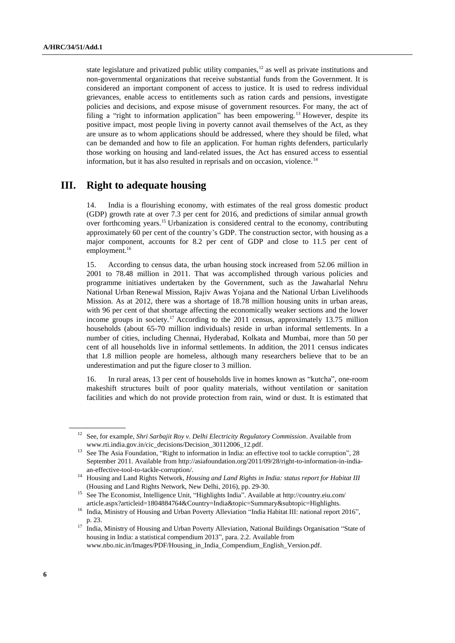state legislature and privatized public utility companies, $12$  as well as private institutions and non-governmental organizations that receive substantial funds from the Government. It is considered an important component of access to justice. It is used to redress individual grievances, enable access to entitlements such as ration cards and pensions, investigate policies and decisions, and expose misuse of government resources. For many, the act of filing a "right to information application" has been empowering.<sup>13</sup> However, despite its positive impact, most people living in poverty cannot avail themselves of the Act, as they are unsure as to whom applications should be addressed, where they should be filed, what can be demanded and how to file an application. For human rights defenders, particularly those working on housing and land-related issues, the Act has ensured access to essential information, but it has also resulted in reprisals and on occasion, violence.<sup>14</sup>

# **III. Right to adequate housing**

14. India is a flourishing economy, with estimates of the real gross domestic product (GDP) growth rate at over 7.3 per cent for 2016, and predictions of similar annual growth over forthcoming years.<sup>15</sup> Urbanization is considered central to the economy, contributing approximately 60 per cent of the country's GDP. The construction sector, with housing as a major component, accounts for 8.2 per cent of GDP and close to 11.5 per cent of employment.<sup>16</sup>

15. According to census data, the urban housing stock increased from 52.06 million in 2001 to 78.48 million in 2011. That was accomplished through various policies and programme initiatives undertaken by the Government, such as the Jawaharlal Nehru National Urban Renewal Mission, Rajiv Awas Yojana and the National Urban Livelihoods Mission. As at 2012, there was a shortage of 18.78 million housing units in urban areas, with 96 per cent of that shortage affecting the economically weaker sections and the lower income groups in society.<sup>17</sup> According to the 2011 census, approximately 13.75 million households (about 65-70 million individuals) reside in urban informal settlements. In a number of cities, including Chennai, Hyderabad, Kolkata and Mumbai, more than 50 per cent of all households live in informal settlements. In addition, the 2011 census indicates that 1.8 million people are homeless, although many researchers believe that to be an underestimation and put the figure closer to 3 million.

16. In rural areas, 13 per cent of households live in homes known as "kutcha", one-room makeshift structures built of poor quality materials, without ventilation or sanitation facilities and which do not provide protection from rain, wind or dust. It is estimated that

<sup>12</sup> See, for example, *Shri Sarbajit Roy v. Delhi Electricity Regulatory Commission*. Available from www.rti.india.gov.in/cic\_decisions/Decision\_30112006\_12.pdf.

<sup>&</sup>lt;sup>13</sup> See The Asia Foundation, "Right to information in India: an effective tool to tackle corruption", 28 September 2011. Available from http://asiafoundation.org/2011/09/28/right-to-information-in-indiaan-effective-tool-to-tackle-corruption/.

<sup>14</sup> Housing and Land Rights Network, *Housing and Land Rights in India: status report for Habitat III* (Housing and Land Rights Network, New Delhi, 2016), pp. 29-30.

<sup>15</sup> See The Economist, Intelligence Unit, "Highlights India". Available at http://country.eiu.com/ article.aspx?articleid=1804884764&Country=India&topic=Summary&subtopic=Highlights.

<sup>&</sup>lt;sup>16</sup> India, Ministry of Housing and Urban Poverty Alleviation "India Habitat III: national report 2016", p. 23.

<sup>&</sup>lt;sup>17</sup> India, Ministry of Housing and Urban Poverty Alleviation, National Buildings Organisation "State of housing in India: a statistical compendium 2013", para. 2.2. Available from www.nbo.nic.in/Images/PDF/Housing\_in\_India\_Compendium\_English\_Version.pdf.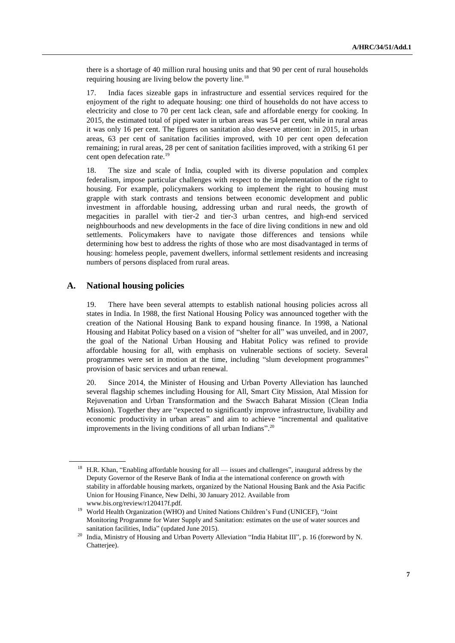there is a shortage of 40 million rural housing units and that 90 per cent of rural households requiring housing are living below the poverty line.<sup>18</sup>

17. India faces sizeable gaps in infrastructure and essential services required for the enjoyment of the right to adequate housing: one third of households do not have access to electricity and close to 70 per cent lack clean, safe and affordable energy for cooking. In 2015, the estimated total of piped water in urban areas was 54 per cent, while in rural areas it was only 16 per cent. The figures on sanitation also deserve attention: in 2015, in urban areas, 63 per cent of sanitation facilities improved, with 10 per cent open defecation remaining; in rural areas, 28 per cent of sanitation facilities improved, with a striking 61 per cent open defecation rate.<sup>19</sup>

18. The size and scale of India, coupled with its diverse population and complex federalism, impose particular challenges with respect to the implementation of the right to housing. For example, policymakers working to implement the right to housing must grapple with stark contrasts and tensions between economic development and public investment in affordable housing, addressing urban and rural needs, the growth of megacities in parallel with tier-2 and tier-3 urban centres, and high-end serviced neighbourhoods and new developments in the face of dire living conditions in new and old settlements. Policymakers have to navigate those differences and tensions while determining how best to address the rights of those who are most disadvantaged in terms of housing: homeless people, pavement dwellers, informal settlement residents and increasing numbers of persons displaced from rural areas.

#### **A. National housing policies**

19. There have been several attempts to establish national housing policies across all states in India. In 1988, the first National Housing Policy was announced together with the creation of the National Housing Bank to expand housing finance. In 1998, a National Housing and Habitat Policy based on a vision of "shelter for all" was unveiled, and in 2007, the goal of the National Urban Housing and Habitat Policy was refined to provide affordable housing for all, with emphasis on vulnerable sections of society. Several programmes were set in motion at the time, including "slum development programmes" provision of basic services and urban renewal.

20. Since 2014, the Minister of Housing and Urban Poverty Alleviation has launched several flagship schemes including Housing for All, Smart City Mission, Atal Mission for Rejuvenation and Urban Transformation and the Swacch Baharat Mission (Clean India Mission). Together they are "expected to significantly improve infrastructure, livability and economic productivity in urban areas" and aim to achieve "incremental and qualitative improvements in the living conditions of all urban Indians".<sup>20</sup>

<sup>&</sup>lt;sup>18</sup> H.R. Khan, "Enabling affordable housing for all — issues and challenges", inaugural address by the Deputy Governor of the Reserve Bank of India at the international conference on growth with stability in affordable housing markets, organized by the National Housing Bank and the Asia Pacific Union for Housing Finance, New Delhi, 30 January 2012. Available from www.bis.org/review/r120417f.pdf.

<sup>&</sup>lt;sup>19</sup> World Health Organization (WHO) and United Nations Children's Fund (UNICEF), "Joint Monitoring Programme for Water Supply and Sanitation: estimates on the use of water sources and sanitation facilities, India" (updated June 2015).

<sup>&</sup>lt;sup>20</sup> India, Ministry of Housing and Urban Poverty Alleviation "India Habitat III", p. 16 (foreword by N. Chatterjee).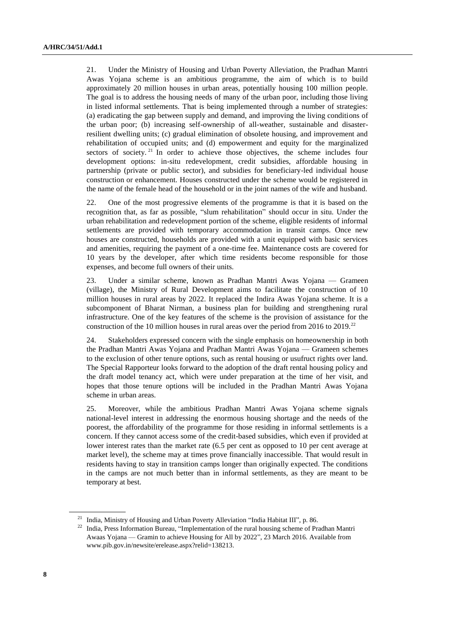21. Under the Ministry of Housing and Urban Poverty Alleviation, the Pradhan Mantri Awas Yojana scheme is an ambitious programme, the aim of which is to build approximately 20 million houses in urban areas, potentially housing 100 million people. The goal is to address the housing needs of many of the urban poor, including those living in listed informal settlements. That is being implemented through a number of strategies: (a) eradicating the gap between supply and demand, and improving the living conditions of the urban poor; (b) increasing self-ownership of all-weather, sustainable and disasterresilient dwelling units; (c) gradual elimination of obsolete housing, and improvement and rehabilitation of occupied units; and (d) empowerment and equity for the marginalized sectors of society. <sup>21</sup> In order to achieve those objectives, the scheme includes four development options: in-situ redevelopment, credit subsidies, affordable housing in partnership (private or public sector), and subsidies for beneficiary-led individual house construction or enhancement. Houses constructed under the scheme would be registered in the name of the female head of the household or in the joint names of the wife and husband.

22. One of the most progressive elements of the programme is that it is based on the recognition that, as far as possible, "slum rehabilitation" should occur in situ. Under the urban rehabilitation and redevelopment portion of the scheme, eligible residents of informal settlements are provided with temporary accommodation in transit camps. Once new houses are constructed, households are provided with a unit equipped with basic services and amenities, requiring the payment of a one-time fee. Maintenance costs are covered for 10 years by the developer, after which time residents become responsible for those expenses, and become full owners of their units.

23. Under a similar scheme, known as Pradhan Mantri Awas Yojana — Grameen (village), the Ministry of Rural Development aims to facilitate the construction of 10 million houses in rural areas by 2022. It replaced the Indira Awas Yojana scheme. It is a subcomponent of Bharat Nirman, a business plan for building and strengthening rural infrastructure. One of the key features of the scheme is the provision of assistance for the construction of the 10 million houses in rural areas over the period from 2016 to 2019.<sup>22</sup>

24. Stakeholders expressed concern with the single emphasis on homeownership in both the Pradhan Mantri Awas Yojana and Pradhan Mantri Awas Yojana — Grameen schemes to the exclusion of other tenure options, such as rental housing or usufruct rights over land. The Special Rapporteur looks forward to the adoption of the draft rental housing policy and the draft model tenancy act, which were under preparation at the time of her visit, and hopes that those tenure options will be included in the Pradhan Mantri Awas Yojana scheme in urban areas.

25. Moreover, while the ambitious Pradhan Mantri Awas Yojana scheme signals national-level interest in addressing the enormous housing shortage and the needs of the poorest, the affordability of the programme for those residing in informal settlements is a concern. If they cannot access some of the credit-based subsidies, which even if provided at lower interest rates than the market rate  $(6.5$  per cent as opposed to 10 per cent average at market level), the scheme may at times prove financially inaccessible. That would result in residents having to stay in transition camps longer than originally expected. The conditions in the camps are not much better than in informal settlements, as they are meant to be temporary at best.

<sup>&</sup>lt;sup>21</sup> India, Ministry of Housing and Urban Poverty Alleviation "India Habitat III", p. 86.

<sup>&</sup>lt;sup>22</sup> India, Press Information Bureau, "Implementation of the rural housing scheme of Pradhan Mantri Awaas Yojana — Gramin to achieve Housing for All by 2022", 23 March 2016. Available from www.pib.gov.in/newsite/erelease.aspx?relid=138213.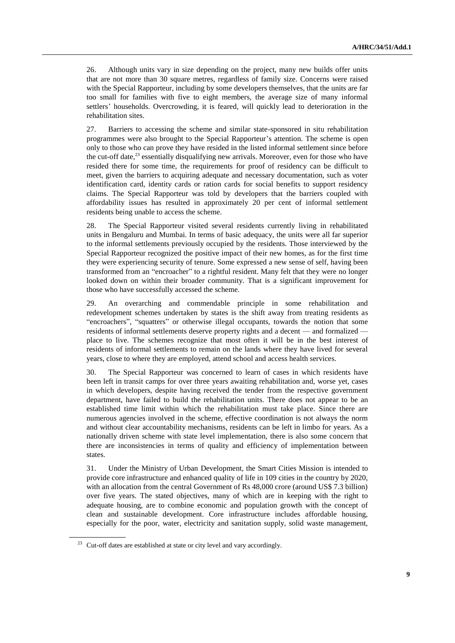26. Although units vary in size depending on the project, many new builds offer units that are not more than 30 square metres, regardless of family size. Concerns were raised with the Special Rapporteur, including by some developers themselves, that the units are far too small for families with five to eight members, the average size of many informal settlers' households. Overcrowding, it is feared, will quickly lead to deterioration in the rehabilitation sites.

27. Barriers to accessing the scheme and similar state-sponsored in situ rehabilitation programmes were also brought to the Special Rapporteur's attention. The scheme is open only to those who can prove they have resided in the listed informal settlement since before the cut-off date, $^{23}$  essentially disqualifying new arrivals. Moreover, even for those who have resided there for some time, the requirements for proof of residency can be difficult to meet, given the barriers to acquiring adequate and necessary documentation, such as voter identification card, identity cards or ration cards for social benefits to support residency claims. The Special Rapporteur was told by developers that the barriers coupled with affordability issues has resulted in approximately 20 per cent of informal settlement residents being unable to access the scheme.

28. The Special Rapporteur visited several residents currently living in rehabilitated units in Bengaluru and Mumbai. In terms of basic adequacy, the units were all far superior to the informal settlements previously occupied by the residents. Those interviewed by the Special Rapporteur recognized the positive impact of their new homes, as for the first time they were experiencing security of tenure. Some expressed a new sense of self, having been transformed from an "encroacher" to a rightful resident. Many felt that they were no longer looked down on within their broader community. That is a significant improvement for those who have successfully accessed the scheme.

29. An overarching and commendable principle in some rehabilitation and redevelopment schemes undertaken by states is the shift away from treating residents as "encroachers", "squatters" or otherwise illegal occupants, towards the notion that some residents of informal settlements deserve property rights and a decent — and formalized place to live. The schemes recognize that most often it will be in the best interest of residents of informal settlements to remain on the lands where they have lived for several years, close to where they are employed, attend school and access health services.

30. The Special Rapporteur was concerned to learn of cases in which residents have been left in transit camps for over three years awaiting rehabilitation and, worse yet, cases in which developers, despite having received the tender from the respective government department, have failed to build the rehabilitation units. There does not appear to be an established time limit within which the rehabilitation must take place. Since there are numerous agencies involved in the scheme, effective coordination is not always the norm and without clear accountability mechanisms, residents can be left in limbo for years. As a nationally driven scheme with state level implementation, there is also some concern that there are inconsistencies in terms of quality and efficiency of implementation between states.

31. Under the Ministry of Urban Development, the Smart Cities Mission is intended to provide core infrastructure and enhanced quality of life in 109 cities in the country by 2020, with an allocation from the central Government of Rs 48,000 crore (around US\$ 7.3 billion) over five years. The stated objectives, many of which are in keeping with the right to adequate housing, are to combine economic and population growth with the concept of clean and sustainable development. Core infrastructure includes affordable housing, especially for the poor, water, electricity and sanitation supply, solid waste management,

<sup>&</sup>lt;sup>23</sup> Cut-off dates are established at state or city level and vary accordingly.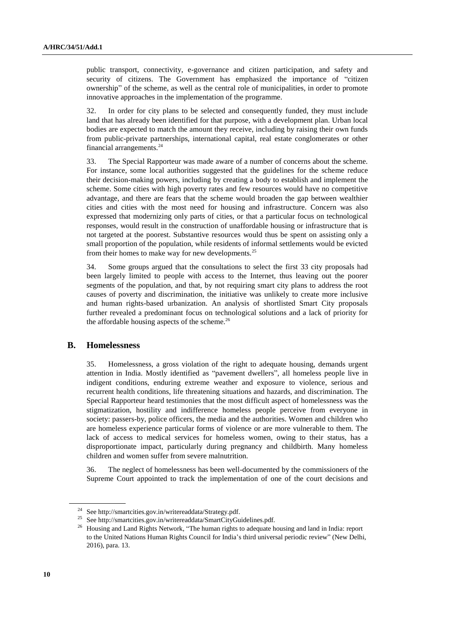public transport, connectivity, e-governance and citizen participation, and safety and security of citizens. The Government has emphasized the importance of "citizen ownership" of the scheme, as well as the central role of municipalities, in order to promote innovative approaches in the implementation of the programme.

32. In order for city plans to be selected and consequently funded, they must include land that has already been identified for that purpose, with a development plan. Urban local bodies are expected to match the amount they receive, including by raising their own funds from public-private partnerships, international capital, real estate conglomerates or other financial arrangements.<sup>24</sup>

33. The Special Rapporteur was made aware of a number of concerns about the scheme. For instance, some local authorities suggested that the guidelines for the scheme reduce their decision-making powers, including by creating a body to establish and implement the scheme. Some cities with high poverty rates and few resources would have no competitive advantage, and there are fears that the scheme would broaden the gap between wealthier cities and cities with the most need for housing and infrastructure. Concern was also expressed that modernizing only parts of cities, or that a particular focus on technological responses, would result in the construction of unaffordable housing or infrastructure that is not targeted at the poorest. Substantive resources would thus be spent on assisting only a small proportion of the population, while residents of informal settlements would be evicted from their homes to make way for new developments.<sup>25</sup>

34. Some groups argued that the consultations to select the first 33 city proposals had been largely limited to people with access to the Internet, thus leaving out the poorer segments of the population, and that, by not requiring smart city plans to address the root causes of poverty and discrimination, the initiative was unlikely to create more inclusive and human rights-based urbanization. An analysis of shortlisted Smart City proposals further revealed a predominant focus on technological solutions and a lack of priority for the affordable housing aspects of the scheme. $^{26}$ 

#### **B. Homelessness**

35. Homelessness, a gross violation of the right to adequate housing, demands urgent attention in India. Mostly identified as "pavement dwellers", all homeless people live in indigent conditions, enduring extreme weather and exposure to violence, serious and recurrent health conditions, life threatening situations and hazards, and discrimination. The Special Rapporteur heard testimonies that the most difficult aspect of homelessness was the stigmatization, hostility and indifference homeless people perceive from everyone in society: passers-by, police officers, the media and the authorities. Women and children who are homeless experience particular forms of violence or are more vulnerable to them. The lack of access to medical services for homeless women, owing to their status, has a disproportionate impact, particularly during pregnancy and childbirth. Many homeless children and women suffer from severe malnutrition.

36. The neglect of homelessness has been well-documented by the commissioners of the Supreme Court appointed to track the implementation of one of the court decisions and

<sup>&</sup>lt;sup>24</sup> Se[e http://smartcities.gov.in/writereaddata/Strategy.pdf.](http://smartcities.gov.in/writereaddata/Strategy.pdf)<br><sup>25</sup> See http://gmartcities.gov.in/writereaddata/SmartCityCy

See http://smartcities.gov.in/writereaddata/SmartCityGuidelines.pdf.

<sup>&</sup>lt;sup>26</sup> Housing and Land Rights Network, "The human rights to adequate housing and land in India: report to the United Nations Human Rights Council for India's third universal periodic review" (New Delhi, 2016), para. 13.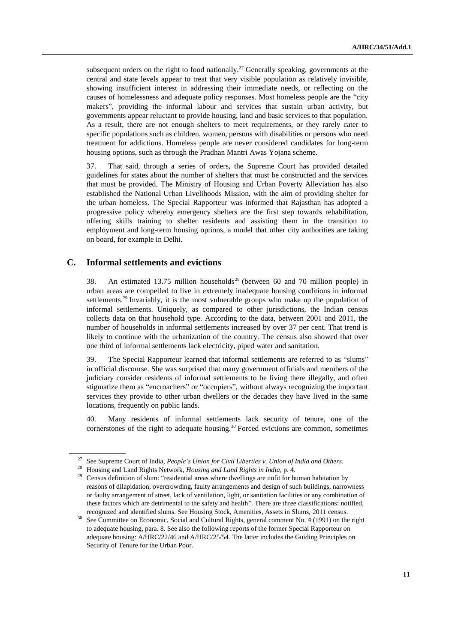subsequent orders on the right to food nationally.<sup>27</sup> Generally speaking, governments at the central and state levels appear to treat that very visible population as relatively invisible, showing insufficient interest in addressing their immediate needs, or reflecting on the causes of homelessness and adequate policy responses. Most homeless people are the "city makers", providing the informal labour and services that sustain urban activity, but governments appear reluctant to provide housing, land and basic services to that population. As a result, there are not enough shelters to meet requirements, or they rarely cater to specific populations such as children, women, persons with disabilities or persons who need treatment for addictions. Homeless people are never considered candidates for long-term housing options, such as through the Pradhan Mantri Awas Yojana scheme.

37. That said, through a series of orders, the Supreme Court has provided detailed guidelines for states about the number of shelters that must be constructed and the services that must be provided. The Ministry of Housing and Urban Poverty Alleviation has also established the National Urban Livelihoods Mission, with the aim of providing shelter for the urban homeless. The Special Rapporteur was informed that Rajasthan has adopted a progressive policy whereby emergency shelters are the first step towards rehabilitation, offering skills training to shelter residents and assisting them in the transition to employment and long-term housing options, a model that other city authorities are taking on board, for example in Delhi.

#### **C. Informal settlements and evictions**

38. An estimated 13.75 million households<sup>28</sup> (between 60 and 70 million people) in urban areas are compelled to live in extremely inadequate housing conditions in informal settlements.<sup>29</sup> Invariably, it is the most vulnerable groups who make up the population of informal settlements. Uniquely, as compared to other jurisdictions, the Indian census collects data on that household type. According to the data, between 2001 and 2011, the number of households in informal settlements increased by over 37 per cent. That trend is likely to continue with the urbanization of the country. The census also showed that over one third of informal settlements lack electricity, piped water and sanitation.

39. The Special Rapporteur learned that informal settlements are referred to as "slums" in official discourse. She was surprised that many government officials and members of the judiciary consider residents of informal settlements to be living there illegally, and often stigmatize them as "encroachers" or "occupiers", without always recognizing the important services they provide to other urban dwellers or the decades they have lived in the same locations, frequently on public lands.

40. Many residents of informal settlements lack security of tenure, one of the cornerstones of the right to adequate housing.<sup>30</sup> Forced evictions are common, sometimes

<sup>27</sup> See Supreme Court of India, *People's Union for Civil Liberties v. Union of India and Others*.

<sup>28</sup> Housing and Land Rights Network, *Housing and Land Rights in India*, p. 4.

<sup>&</sup>lt;sup>29</sup> Census definition of slum: "residential areas where dwellings are unfit for human habitation by reasons of dilapidation, overcrowding, faulty arrangements and design of such buildings, narrowness or faulty arrangement of street, lack of ventilation, light, or sanitation facilities or any combination of these factors which are detrimental to the safety and health". There are three classifications: notified, recognized and identified slums. See Housing Stock, Amenities, Assets in Slums, 2011 census.

<sup>&</sup>lt;sup>30</sup> See Committee on Economic, Social and Cultural Rights, general comment No. 4 (1991) on the right to adequate housing, para. 8. See also the following reports of the former Special Rapporteur on adequate housing: A/HRC/22/46 and A/HRC/25/54. The latter includes the Guiding Principles on Security of Tenure for the Urban Poor.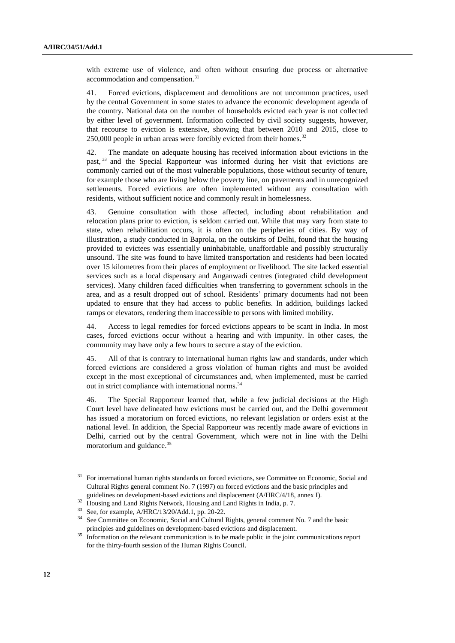with extreme use of violence, and often without ensuring due process or alternative accommodation and compensation.<sup>31</sup>

41. Forced evictions, displacement and demolitions are not uncommon practices, used by the central Government in some states to advance the economic development agenda of the country. National data on the number of households evicted each year is not collected by either level of government. Information collected by civil society suggests, however, that recourse to eviction is extensive, showing that between 2010 and 2015, close to  $250,000$  people in urban areas were forcibly evicted from their homes.<sup>32</sup>

42. The mandate on adequate housing has received information about evictions in the past, <sup>33</sup> and the Special Rapporteur was informed during her visit that evictions are commonly carried out of the most vulnerable populations, those without security of tenure, for example those who are living below the poverty line, on pavements and in unrecognized settlements. Forced evictions are often implemented without any consultation with residents, without sufficient notice and commonly result in homelessness.

43. Genuine consultation with those affected, including about rehabilitation and relocation plans prior to eviction, is seldom carried out. While that may vary from state to state, when rehabilitation occurs, it is often on the peripheries of cities. By way of illustration, a study conducted in Baprola, on the outskirts of Delhi, found that the housing provided to evictees was essentially uninhabitable, unaffordable and possibly structurally unsound. The site was found to have limited transportation and residents had been located over 15 kilometres from their places of employment or livelihood. The site lacked essential services such as a local dispensary and Anganwadi centres (integrated child development services). Many children faced difficulties when transferring to government schools in the area, and as a result dropped out of school. Residents' primary documents had not been updated to ensure that they had access to public benefits. In addition, buildings lacked ramps or elevators, rendering them inaccessible to persons with limited mobility.

44. Access to legal remedies for forced evictions appears to be scant in India. In most cases, forced evictions occur without a hearing and with impunity. In other cases, the community may have only a few hours to secure a stay of the eviction.

45. All of that is contrary to international human rights law and standards, under which forced evictions are considered a gross violation of human rights and must be avoided except in the most exceptional of circumstances and, when implemented, must be carried out in strict compliance with international norms.<sup>34</sup>

46. The Special Rapporteur learned that, while a few judicial decisions at the High Court level have delineated how evictions must be carried out, and the Delhi government has issued a moratorium on forced evictions, no relevant legislation or orders exist at the national level. In addition, the Special Rapporteur was recently made aware of evictions in Delhi, carried out by the central Government, which were not in line with the Delhi moratorium and guidance.<sup>35</sup>

<sup>31</sup> For international human rights standards on forced evictions, see Committee on Economic*,* Social and Cultural Rights general comment No. 7 (1997) on forced evictions and the basic principles and guidelines on development-based evictions and displacement (A/HRC/4/18, annex I).

<sup>&</sup>lt;sup>32</sup> Housing and Land Rights Network, Housing and Land Rights in India, p. 7.

<sup>33</sup> See, for example, A/HRC/13/20/Add.1, pp. 20-22.

<sup>34</sup> See Committee on Economic*,* Social and Cultural Rights, general comment No. 7 and the basic principles and guidelines on development-based evictions and displacement.

Information on the relevant communication is to be made public in the joint communications report for the thirty-fourth session of the Human Rights Council.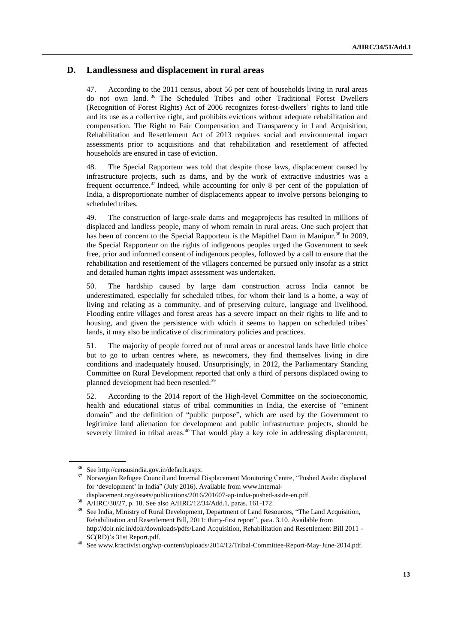#### **D. Landlessness and displacement in rural areas**

47. According to the 2011 census, about 56 per cent of households living in rural areas do not own land. <sup>36</sup> The Scheduled Tribes and other Traditional Forest Dwellers (Recognition of Forest Rights) Act of 2006 recognizes forest-dwellers' rights to land title and its use as a collective right, and prohibits evictions without adequate rehabilitation and compensation. The Right to Fair Compensation and Transparency in Land Acquisition, Rehabilitation and Resettlement Act of 2013 requires social and environmental impact assessments prior to acquisitions and that rehabilitation and resettlement of affected households are ensured in case of eviction.

48. The Special Rapporteur was told that despite those laws, displacement caused by infrastructure projects, such as dams, and by the work of extractive industries was a frequent occurrence.<sup>37</sup> Indeed, while accounting for only 8 per cent of the population of India, a disproportionate number of displacements appear to involve persons belonging to scheduled tribes.

49. The construction of large-scale dams and megaprojects has resulted in millions of displaced and landless people, many of whom remain in rural areas. One such project that has been of concern to the Special Rapporteur is the Mapithel Dam in Manipur.<sup>38</sup> In 2009, the Special Rapporteur on the rights of indigenous peoples urged the Government to seek free, prior and informed consent of indigenous peoples, followed by a call to ensure that the rehabilitation and resettlement of the villagers concerned be pursued only insofar as a strict and detailed human rights impact assessment was undertaken.

50. The hardship caused by large dam construction across India cannot be underestimated, especially for scheduled tribes, for whom their land is a home, a way of living and relating as a community, and of preserving culture, language and livelihood. Flooding entire villages and forest areas has a severe impact on their rights to life and to housing, and given the persistence with which it seems to happen on scheduled tribes' lands, it may also be indicative of discriminatory policies and practices.

51. The majority of people forced out of rural areas or ancestral lands have little choice but to go to urban centres where, as newcomers, they find themselves living in dire conditions and inadequately housed. Unsurprisingly, in 2012, the Parliamentary Standing Committee on Rural Development reported that only a third of persons displaced owing to planned development had been resettled.<sup>39</sup>

52. According to the 2014 report of the High-level Committee on the socioeconomic, health and educational status of tribal communities in India, the exercise of "eminent domain" and the definition of "public purpose", which are used by the Government to legitimize land alienation for development and public infrastructure projects, should be severely limited in tribal areas.<sup>40</sup> That would play a key role in addressing displacement,

<sup>36</sup> See [http://censusindia.gov.in/default.aspx.](http://censusindia.gov.in/default.aspx)

<sup>&</sup>lt;sup>37</sup> Norwegian Refugee Council and Internal Displacement Monitoring Centre, "Pushed Aside: displaced for 'development' in India" (July 2016). Available from www.internal-

displacement.org/assets/publications/2016/201607-ap-india-pushed-aside-en.pdf.

<sup>38</sup> A/HRC/30/27, p. 18. See also A/HRC/12/34/Add.1, paras. 161-172.

<sup>&</sup>lt;sup>39</sup> See India, Ministry of Rural Development, Department of Land Resources, "The Land Acquisition, Rehabilitation and Resettlement Bill, 2011: thirty-first report", para. 3.10. Available from <http://dolr.nic.in/dolr/downloads/pdfs/Land> Acquisition, Rehabilitation and Resettlement Bill 2011 - SC(RD)'s 31st Report.pdf.

 $^{40}\,$  See www.kractivist.org/wp-content/uploads/2014/12/Tribal-Committee-Report-May-June-2014.pdf.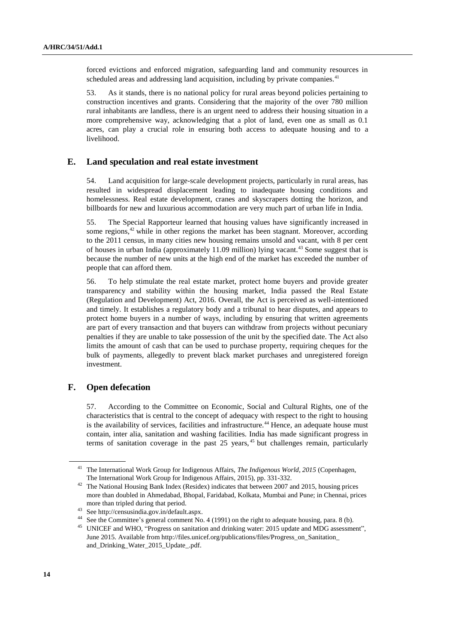forced evictions and enforced migration, safeguarding land and community resources in scheduled areas and addressing land acquisition, including by private companies.<sup>41</sup>

53. As it stands, there is no national policy for rural areas beyond policies pertaining to construction incentives and grants. Considering that the majority of the over 780 million rural inhabitants are landless, there is an urgent need to address their housing situation in a more comprehensive way, acknowledging that a plot of land, even one as small as 0.1 acres, can play a crucial role in ensuring both access to adequate housing and to a livelihood.

#### **E. Land speculation and real estate investment**

54. Land acquisition for large-scale development projects, particularly in rural areas, has resulted in widespread displacement leading to inadequate housing conditions and homelessness. Real estate development, cranes and skyscrapers dotting the horizon, and billboards for new and luxurious accommodation are very much part of urban life in India.

55. The Special Rapporteur learned that housing values have significantly increased in some regions, $42$  while in other regions the market has been stagnant. Moreover, according to the 2011 census, in many cities new housing remains unsold and vacant, with 8 per cent of houses in urban India (approximately  $11.09$  million) lying vacant.<sup>43</sup> Some suggest that is because the number of new units at the high end of the market has exceeded the number of people that can afford them.

56. To help stimulate the real estate market, protect home buyers and provide greater transparency and stability within the housing market, India passed the Real Estate (Regulation and Development) Act, 2016. Overall, the Act is perceived as well-intentioned and timely. It establishes a regulatory body and a tribunal to hear disputes, and appears to protect home buyers in a number of ways, including by ensuring that written agreements are part of every transaction and that buyers can withdraw from projects without pecuniary penalties if they are unable to take possession of the unit by the specified date. The Act also limits the amount of cash that can be used to purchase property, requiring cheques for the bulk of payments, allegedly to prevent black market purchases and unregistered foreign investment.

#### **F. Open defecation**

57. According to the Committee on Economic, Social and Cultural Rights, one of the characteristics that is central to the concept of adequacy with respect to the right to housing is the availability of services, facilities and infrastructure.<sup>44</sup> Hence, an adequate house must contain, inter alia, sanitation and washing facilities. India has made significant progress in terms of sanitation coverage in the past  $25$  years,  $45$  but challenges remain, particularly

<sup>41</sup> The International Work Group for Indigenous Affairs, *The Indigenous World, 2015* (Copenhagen, The International Work Group for Indigenous Affairs, 2015), pp. 331-332.

<sup>&</sup>lt;sup>42</sup> The National Housing Bank Index (Residex) indicates that between 2007 and 2015, housing prices more than doubled in Ahmedabad, Bhopal, Faridabad, Kolkata, Mumbai and Pune; in Chennai, prices more than tripled during that period.

<sup>&</sup>lt;sup>43</sup> See [http://censusindia.gov.in/default.aspx.](http://censusindia.gov.in/default.aspx)<br><sup>44</sup> See the Committee's gangged comment. No

See the Committee's general comment No. 4 (1991) on the right to adequate housing, para. 8 (b).

<sup>&</sup>lt;sup>45</sup> UNICEF and WHO, "Progress on sanitation and drinking water: 2015 update and MDG assessment", June 2015. Available from http://files.unicef.org/publications/files/Progress\_on\_Sanitation\_ and\_Drinking\_Water\_2015\_Update\_.pdf.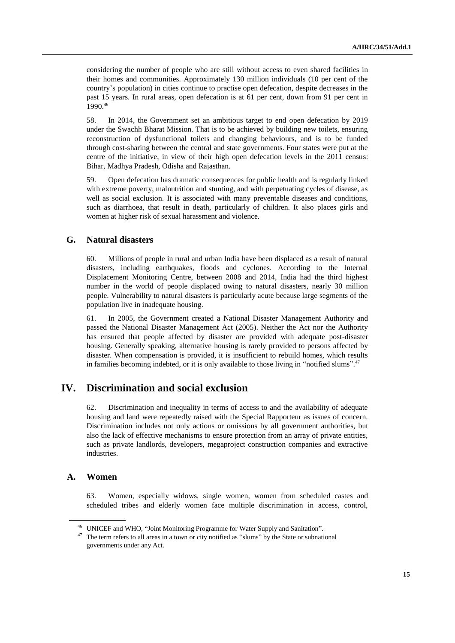considering the number of people who are still without access to even shared facilities in their homes and communities. Approximately 130 million individuals (10 per cent of the country's population) in cities continue to practise open defecation, despite decreases in the past 15 years. In rural areas, open defecation is at 61 per cent, down from 91 per cent in 1990.<sup>46</sup>

58. In 2014, the Government set an ambitious target to end open defecation by 2019 under the Swachh Bharat Mission. That is to be achieved by building new toilets, ensuring reconstruction of dysfunctional toilets and changing behaviours, and is to be funded through cost-sharing between the central and state governments. Four states were put at the centre of the initiative, in view of their high open defecation levels in the 2011 census: Bihar, Madhya Pradesh, Odisha and Rajasthan.

59. Open defecation has dramatic consequences for public health and is regularly linked with extreme poverty, malnutrition and stunting, and with perpetuating cycles of disease, as well as social exclusion. It is associated with many preventable diseases and conditions, such as diarrhoea, that result in death, particularly of children. It also places girls and women at higher risk of sexual harassment and violence.

#### **G. Natural disasters**

60. Millions of people in rural and urban India have been displaced as a result of natural disasters, including earthquakes, floods and cyclones. According to the Internal Displacement Monitoring Centre, between 2008 and 2014, India had the third highest number in the world of people displaced owing to natural disasters, nearly 30 million people. Vulnerability to natural disasters is particularly acute because large segments of the population live in inadequate housing.

61. In 2005, the Government created a National Disaster Management Authority and passed the National Disaster Management Act (2005). Neither the Act nor the Authority has ensured that people affected by disaster are provided with adequate post-disaster housing. Generally speaking, alternative housing is rarely provided to persons affected by disaster. When compensation is provided, it is insufficient to rebuild homes, which results in families becoming indebted, or it is only available to those living in "notified slums".<sup>47</sup>

# **IV. Discrimination and social exclusion**

62. Discrimination and inequality in terms of access to and the availability of adequate housing and land were repeatedly raised with the Special Rapporteur as issues of concern. Discrimination includes not only actions or omissions by all government authorities, but also the lack of effective mechanisms to ensure protection from an array of private entities, such as private landlords, developers, megaproject construction companies and extractive industries.

#### **A. Women**

63. Women, especially widows, single women, women from scheduled castes and scheduled tribes and elderly women face multiple discrimination in access, control,

<sup>46</sup> UNICEF and WHO, "Joint Monitoring Programme for Water Supply and Sanitation".

<sup>&</sup>lt;sup>47</sup> The term refers to all areas in a town or city notified as "slums" by the State or subnational governments under any Act.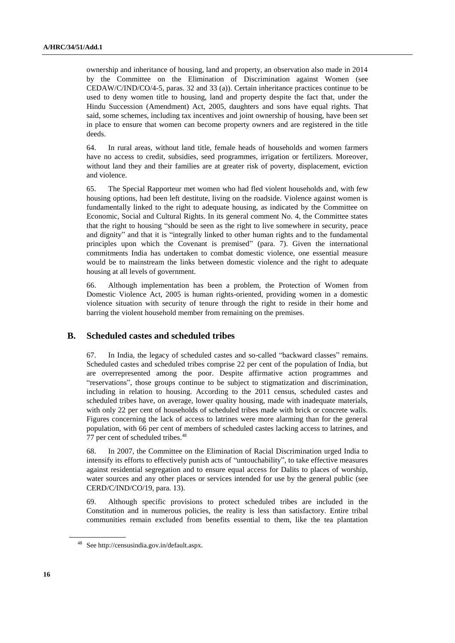ownership and inheritance of housing, land and property, an observation also made in 2014 by the Committee on the Elimination of Discrimination against Women (see CEDAW/C/IND/CO/4-5, paras. 32 and 33 (a)). Certain inheritance practices continue to be used to deny women title to housing, land and property despite the fact that, under the Hindu Succession (Amendment) Act, 2005, daughters and sons have equal rights. That said, some schemes, including tax incentives and joint ownership of housing, have been set in place to ensure that women can become property owners and are registered in the title deeds.

64. In rural areas, without land title, female heads of households and women farmers have no access to credit, subsidies, seed programmes, irrigation or fertilizers. Moreover, without land they and their families are at greater risk of poverty, displacement, eviction and violence.

65. The Special Rapporteur met women who had fled violent households and, with few housing options, had been left destitute, living on the roadside. Violence against women is fundamentally linked to the right to adequate housing, as indicated by the Committee on Economic, Social and Cultural Rights. In its general comment No. 4, the Committee states that the right to housing "should be seen as the right to live somewhere in security, peace and dignity" and that it is "integrally linked to other human rights and to the fundamental principles upon which the Covenant is premised" (para. 7). Given the international commitments India has undertaken to combat domestic violence, one essential measure would be to mainstream the links between domestic violence and the right to adequate housing at all levels of government.

66. Although implementation has been a problem, the Protection of Women from Domestic Violence Act, 2005 is human rights-oriented, providing women in a domestic violence situation with security of tenure through the right to reside in their home and barring the violent household member from remaining on the premises.

#### **B. Scheduled castes and scheduled tribes**

67. In India, the legacy of scheduled castes and so-called "backward classes" remains. Scheduled castes and scheduled tribes comprise 22 per cent of the population of India, but are overrepresented among the poor. Despite affirmative action programmes and "reservations", those groups continue to be subject to stigmatization and discrimination, including in relation to housing. According to the 2011 census, scheduled castes and scheduled tribes have, on average, lower quality housing, made with inadequate materials, with only 22 per cent of households of scheduled tribes made with brick or concrete walls. Figures concerning the lack of access to latrines were more alarming than for the general population, with 66 per cent of members of scheduled castes lacking access to latrines, and 77 per cent of scheduled tribes.<sup>48</sup>

68. In 2007, the Committee on the Elimination of Racial Discrimination urged India to intensify its efforts to effectively punish acts of "untouchability", to take effective measures against residential segregation and to ensure equal access for Dalits to places of worship, water sources and any other places or services intended for use by the general public (see CERD/C/IND/CO/19, para. 13).

69. Although specific provisions to protect scheduled tribes are included in the Constitution and in numerous policies, the reality is less than satisfactory. Entire tribal communities remain excluded from benefits essential to them, like the tea plantation

See [http://censusindia.gov.in/default.aspx.](http://censusindia.gov.in/default.aspx)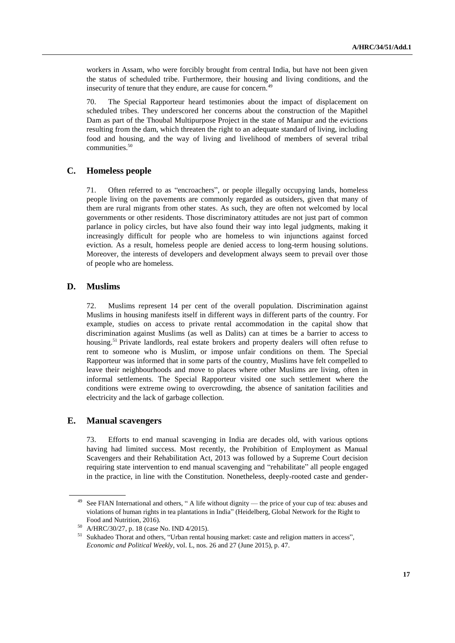workers in Assam, who were forcibly brought from central India, but have not been given the status of scheduled tribe. Furthermore, their housing and living conditions, and the insecurity of tenure that they endure, are cause for concern.<sup>49</sup>

70. The Special Rapporteur heard testimonies about the impact of displacement on scheduled tribes. They underscored her concerns about the construction of the Mapithel Dam as part of the Thoubal Multipurpose Project in the state of Manipur and the evictions resulting from the dam, which threaten the right to an adequate standard of living, including food and housing, and the way of living and livelihood of members of several tribal communities.<sup>50</sup>

#### **C. Homeless people**

71. Often referred to as "encroachers", or people illegally occupying lands, homeless people living on the pavements are commonly regarded as outsiders, given that many of them are rural migrants from other states. As such, they are often not welcomed by local governments or other residents. Those discriminatory attitudes are not just part of common parlance in policy circles, but have also found their way into legal judgments, making it increasingly difficult for people who are homeless to win injunctions against forced eviction. As a result, homeless people are denied access to long-term housing solutions. Moreover, the interests of developers and development always seem to prevail over those of people who are homeless.

#### **D. Muslims**

72. Muslims represent 14 per cent of the overall population. Discrimination against Muslims in housing manifests itself in different ways in different parts of the country. For example, studies on access to private rental accommodation in the capital show that discrimination against Muslims (as well as Dalits) can at times be a barrier to access to housing.<sup>51</sup> Private landlords, real estate brokers and property dealers will often refuse to rent to someone who is Muslim, or impose unfair conditions on them. The Special Rapporteur was informed that in some parts of the country, Muslims have felt compelled to leave their neighbourhoods and move to places where other Muslims are living, often in informal settlements. The Special Rapporteur visited one such settlement where the conditions were extreme owing to overcrowding, the absence of sanitation facilities and electricity and the lack of garbage collection.

#### **E. Manual scavengers**

Efforts to end manual scavenging in India are decades old, with various options having had limited success. Most recently, the Prohibition of Employment as Manual Scavengers and their Rehabilitation Act, 2013 was followed by a Supreme Court decision requiring state intervention to end manual scavenging and "rehabilitate" all people engaged in the practice, in line with the Constitution. Nonetheless, deeply-rooted caste and gender-

<sup>&</sup>lt;sup>49</sup> See FIAN International and others, " A life without dignity — the price of your cup of tea: abuses and violations of human rights in tea plantations in India" (Heidelberg, Global Network for the Right to Food and Nutrition, 2016).

<sup>50</sup> A/HRC/30/27, p. 18 (case No. IND 4/2015).

<sup>&</sup>lt;sup>51</sup> Sukhadeo Thorat and others, "Urban rental housing market: caste and religion matters in access", *Economic and Political Weekly*, vol. L, nos. 26 and 27 (June 2015), p. 47.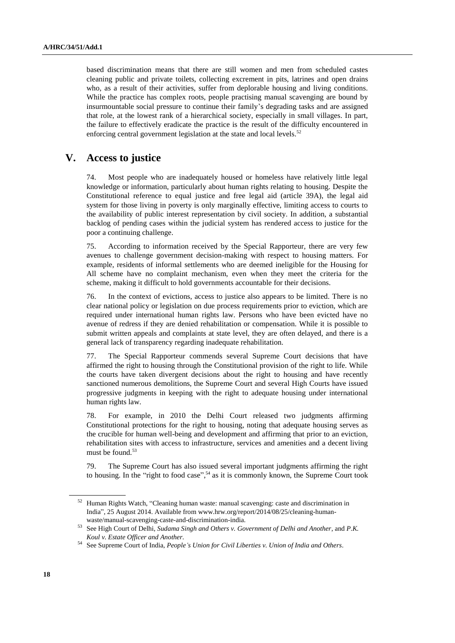based discrimination means that there are still women and men from scheduled castes cleaning public and private toilets, collecting excrement in pits, latrines and open drains who, as a result of their activities, suffer from deplorable housing and living conditions. While the practice has complex roots, people practising manual scavenging are bound by insurmountable social pressure to continue their family's degrading tasks and are assigned that role, at the lowest rank of a hierarchical society, especially in small villages. In part, the failure to effectively eradicate the practice is the result of the difficulty encountered in enforcing central government legislation at the state and local levels.<sup>52</sup>

# **V. Access to justice**

74. Most people who are inadequately housed or homeless have relatively little legal knowledge or information, particularly about human rights relating to housing. Despite the Constitutional reference to equal justice and free legal aid (article 39A), the legal aid system for those living in poverty is only marginally effective, limiting access to courts to the availability of public interest representation by civil society. In addition, a substantial backlog of pending cases within the judicial system has rendered access to justice for the poor a continuing challenge.

75. According to information received by the Special Rapporteur, there are very few avenues to challenge government decision-making with respect to housing matters. For example, residents of informal settlements who are deemed ineligible for the Housing for All scheme have no complaint mechanism, even when they meet the criteria for the scheme, making it difficult to hold governments accountable for their decisions.

76. In the context of evictions, access to justice also appears to be limited. There is no clear national policy or legislation on due process requirements prior to eviction, which are required under international human rights law. Persons who have been evicted have no avenue of redress if they are denied rehabilitation or compensation. While it is possible to submit written appeals and complaints at state level, they are often delayed, and there is a general lack of transparency regarding inadequate rehabilitation.

77. The Special Rapporteur commends several Supreme Court decisions that have affirmed the right to housing through the Constitutional provision of the right to life. While the courts have taken divergent decisions about the right to housing and have recently sanctioned numerous demolitions, the Supreme Court and several High Courts have issued progressive judgments in keeping with the right to adequate housing under international human rights law.

78. For example, in 2010 the Delhi Court released two judgments affirming Constitutional protections for the right to housing, noting that adequate housing serves as the crucible for human well-being and development and affirming that prior to an eviction, rehabilitation sites with access to infrastructure, services and amenities and a decent living must be found.<sup>53</sup>

79. The Supreme Court has also issued several important judgments affirming the right to housing. In the "right to food case",<sup>54</sup> as it is commonly known, the Supreme Court took

<sup>52</sup> Human Rights Watch, "Cleaning human waste: manual scavenging: caste and discrimination in India", 25 August 2014. Available from www.hrw.org/report/2014/08/25/cleaning-humanwaste/manual-scavenging-caste-and-discrimination-india.

<sup>53</sup> See High Court of Delhi, *Sudama Singh and Others v. Government of Delhi and Another*, and *P.K. Koul v. Estate Officer and Another*.

<sup>54</sup> See Supreme Court of India, *People's Union for Civil Liberties v. Union of India and Others*.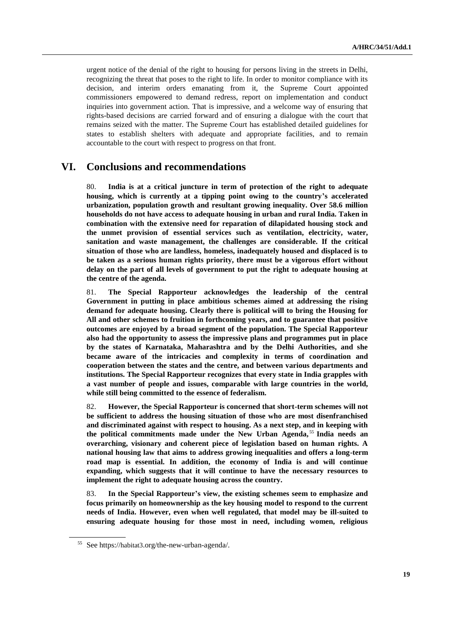urgent notice of the denial of the right to housing for persons living in the streets in Delhi, recognizing the threat that poses to the right to life. In order to monitor compliance with its decision, and interim orders emanating from it, the Supreme Court appointed commissioners empowered to demand redress, report on implementation and conduct inquiries into government action. That is impressive, and a welcome way of ensuring that rights-based decisions are carried forward and of ensuring a dialogue with the court that remains seized with the matter. The Supreme Court has established detailed guidelines for states to establish shelters with adequate and appropriate facilities, and to remain accountable to the court with respect to progress on that front.

## **VI. Conclusions and recommendations**

80. **India is at a critical juncture in term of protection of the right to adequate housing, which is currently at a tipping point owing to the country's accelerated urbanization, population growth and resultant growing inequality. Over 58.6 million households do not have access to adequate housing in urban and rural India. Taken in combination with the extensive need for reparation of dilapidated housing stock and the unmet provision of essential services such as ventilation, electricity, water, sanitation and waste management, the challenges are considerable. If the critical situation of those who are landless, homeless, inadequately housed and displaced is to be taken as a serious human rights priority, there must be a vigorous effort without delay on the part of all levels of government to put the right to adequate housing at the centre of the agenda.**

81. **The Special Rapporteur acknowledges the leadership of the central Government in putting in place ambitious schemes aimed at addressing the rising demand for adequate housing. Clearly there is political will to bring the Housing for All and other schemes to fruition in forthcoming years, and to guarantee that positive outcomes are enjoyed by a broad segment of the population. The Special Rapporteur also had the opportunity to assess the impressive plans and programmes put in place by the states of Karnataka, Maharashtra and by the Delhi Authorities, and she became aware of the intricacies and complexity in terms of coordination and cooperation between the states and the centre, and between various departments and institutions. The Special Rapporteur recognizes that every state in India grapples with a vast number of people and issues, comparable with large countries in the world, while still being committed to the essence of federalism.** 

82. **However, the Special Rapporteur is concerned that short-term schemes will not be sufficient to address the housing situation of those who are most disenfranchised and discriminated against with respect to housing. As a next step, and in keeping with the political commitments made under the New Urban Agenda,** <sup>55</sup> **India needs an overarching, visionary and coherent piece of legislation based on human rights. A national housing law that aims to address growing inequalities and offers a long-term road map is essential. In addition, the economy of India is and will continue expanding, which suggests that it will continue to have the necessary resources to implement the right to adequate housing across the country.** 

83. **In the Special Rapporteur's view, the existing schemes seem to emphasize and focus primarily on homeownership as the key housing model to respond to the current needs of India. However, even when well regulated, that model may be ill-suited to ensuring adequate housing for those most in need, including women, religious** 

<sup>55</sup> See https://habitat3.org/the-new-urban-agenda/.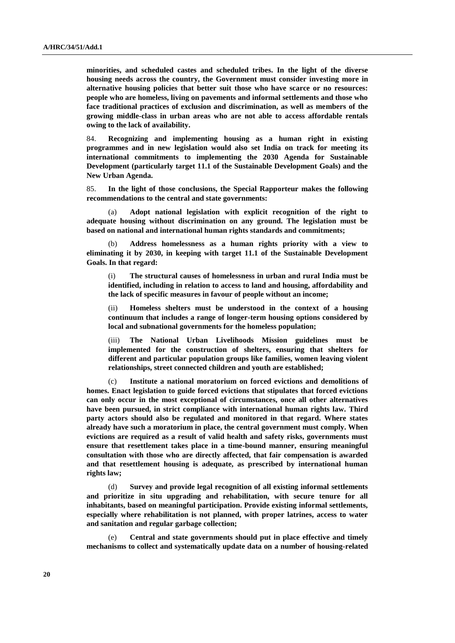**minorities, and scheduled castes and scheduled tribes. In the light of the diverse housing needs across the country, the Government must consider investing more in alternative housing policies that better suit those who have scarce or no resources: people who are homeless, living on pavements and informal settlements and those who face traditional practices of exclusion and discrimination, as well as members of the growing middle-class in urban areas who are not able to access affordable rentals owing to the lack of availability.** 

84. **Recognizing and implementing housing as a human right in existing programmes and in new legislation would also set India on track for meeting its international commitments to implementing the 2030 Agenda for Sustainable Development (particularly target 11.1 of the Sustainable Development Goals) and the New Urban Agenda.**

85. **In the light of those conclusions, the Special Rapporteur makes the following recommendations to the central and state governments:**

(a) **Adopt national legislation with explicit recognition of the right to adequate housing without discrimination on any ground. The legislation must be based on national and international human rights standards and commitments;**

(b) **Address homelessness as a human rights priority with a view to eliminating it by 2030, in keeping with target 11.1 of the Sustainable Development Goals. In that regard:**

(i) **The structural causes of homelessness in urban and rural India must be identified, including in relation to access to land and housing, affordability and the lack of specific measures in favour of people without an income;** 

(ii) **Homeless shelters must be understood in the context of a housing continuum that includes a range of longer-term housing options considered by local and subnational governments for the homeless population;**

(iii) **The National Urban Livelihoods Mission guidelines must be implemented for the construction of shelters, ensuring that shelters for different and particular population groups like families, women leaving violent relationships, street connected children and youth are established;**

(c) **Institute a national moratorium on forced evictions and demolitions of homes. Enact legislation to guide forced evictions that stipulates that forced evictions can only occur in the most exceptional of circumstances, once all other alternatives have been pursued, in strict compliance with international human rights law. Third party actors should also be regulated and monitored in that regard. Where states already have such a moratorium in place, the central government must comply. When evictions are required as a result of valid health and safety risks, governments must ensure that resettlement takes place in a time-bound manner, ensuring meaningful consultation with those who are directly affected, that fair compensation is awarded and that resettlement housing is adequate, as prescribed by international human rights law;**

(d) **Survey and provide legal recognition of all existing informal settlements and prioritize in situ upgrading and rehabilitation, with secure tenure for all inhabitants, based on meaningful participation. Provide existing informal settlements, especially where rehabilitation is not planned, with proper latrines, access to water and sanitation and regular garbage collection;**

(e) **Central and state governments should put in place effective and timely mechanisms to collect and systematically update data on a number of housing-related**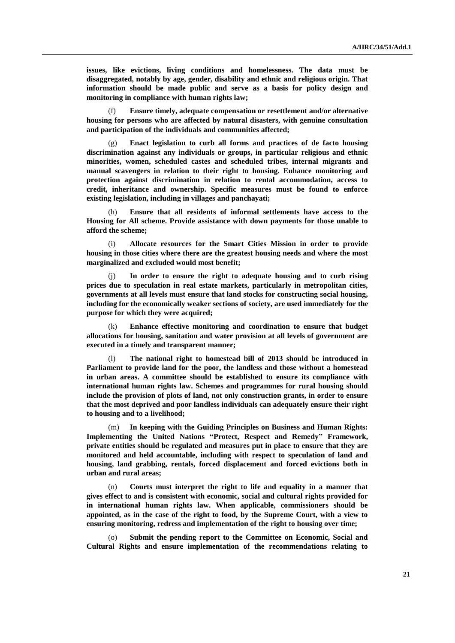**issues, like evictions, living conditions and homelessness. The data must be disaggregated, notably by age, gender, disability and ethnic and religious origin. That information should be made public and serve as a basis for policy design and monitoring in compliance with human rights law;**

Ensure timely, adequate compensation or resettlement and/or alternative **housing for persons who are affected by natural disasters, with genuine consultation and participation of the individuals and communities affected;** 

(g) **Enact legislation to curb all forms and practices of de facto housing discrimination against any individuals or groups, in particular religious and ethnic minorities, women, scheduled castes and scheduled tribes, internal migrants and manual scavengers in relation to their right to housing. Enhance monitoring and protection against discrimination in relation to rental accommodation, access to credit, inheritance and ownership. Specific measures must be found to enforce existing legislation, including in villages and panchayati;**

(h) **Ensure that all residents of informal settlements have access to the Housing for All scheme. Provide assistance with down payments for those unable to afford the scheme;** 

(i) **Allocate resources for the Smart Cities Mission in order to provide housing in those cities where there are the greatest housing needs and where the most marginalized and excluded would most benefit;**

(j) **In order to ensure the right to adequate housing and to curb rising prices due to speculation in real estate markets, particularly in metropolitan cities, governments at all levels must ensure that land stocks for constructing social housing, including for the economically weaker sections of society, are used immediately for the purpose for which they were acquired;** 

(k) **Enhance effective monitoring and coordination to ensure that budget allocations for housing, sanitation and water provision at all levels of government are executed in a timely and transparent manner;**

The national right to homestead bill of 2013 should be introduced in **Parliament to provide land for the poor, the landless and those without a homestead in urban areas. A committee should be established to ensure its compliance with international human rights law. Schemes and programmes for rural housing should include the provision of plots of land, not only construction grants, in order to ensure that the most deprived and poor landless individuals can adequately ensure their right to housing and to a livelihood;**

(m) **In keeping with the Guiding Principles on Business and Human Rights: Implementing the United Nations "Protect, Respect and Remedy" Framework, private entities should be regulated and measures put in place to ensure that they are monitored and held accountable, including with respect to speculation of land and housing, land grabbing, rentals, forced displacement and forced evictions both in urban and rural areas;**

(n) **Courts must interpret the right to life and equality in a manner that gives effect to and is consistent with economic, social and cultural rights provided for in international human rights law. When applicable, commissioners should be appointed, as in the case of the right to food, by the Supreme Court, with a view to ensuring monitoring, redress and implementation of the right to housing over time;**

Submit the pending report to the Committee on Economic, Social and **Cultural Rights and ensure implementation of the recommendations relating to**